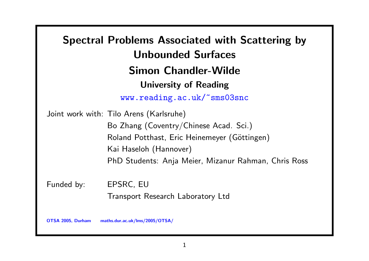Spectral Problems Associated with Scattering by Unbounded Surfaces Simon Chandler-Wilde University of Reading www.reading.ac.uk/~sms03snc Joint work with: Tilo Arens (Karlsruhe) Bo Zhang (Coventry/Chinese Acad. Sci.) Roland Potthast, Eric Heinemeyer (Göttingen) Kai Haseloh (Hannover) PhD Students: Anja Meier, Mizanur Rahman, Chris Ross Funded by: EPSRC, EU

Transport Research Laboratory Ltd

OTSA 2005, Durham maths.dur.ac.uk/lms/2005/OTSA/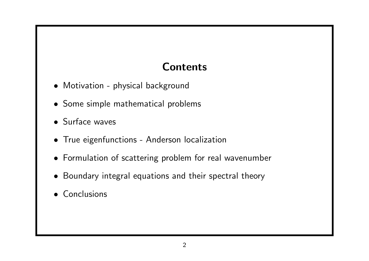## Contents

- Motivation physical background
- Some simple mathematical problems
- Surface waves
- True eigenfunctions Anderson localization
- Formulation of scattering problem for real wavenumber
- Boundary integral equations and their spectral theory
- Conclusions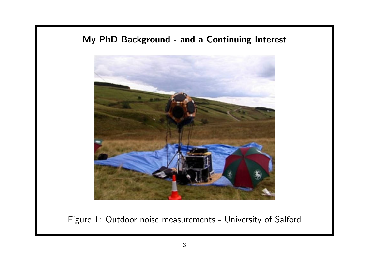#### My PhD Background - and a Continuing Interest



Figure 1: Outdoor noise measurements - University of Salford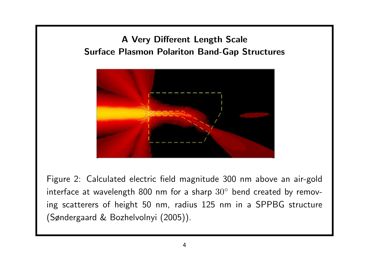### A Very Different Length Scale Surface Plasmon Polariton Band-Gap Structures



Figure 2: Calculated electric field magnitude 300 nm above an air-gold interface at wavelength 800 nm for a sharp  $30^{\circ}$  bend created by removing scatterers of height 50 nm, radius 125 nm in a SPPBG structure (Søndergaard & Bozhelvolnyi (2005)).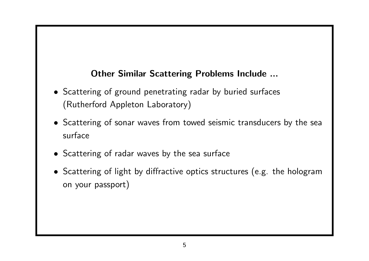#### Other Similar Scattering Problems Include ...

- Scattering of ground penetrating radar by buried surfaces (Rutherford Appleton Laboratory)
- Scattering of sonar waves from towed seismic transducers by the sea surface
- Scattering of radar waves by the sea surface
- Scattering of light by diffractive optics structures (e.g. the hologram on your passport)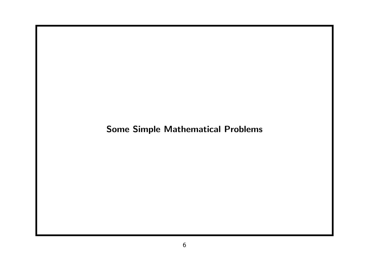### Some Simple Mathematical Problems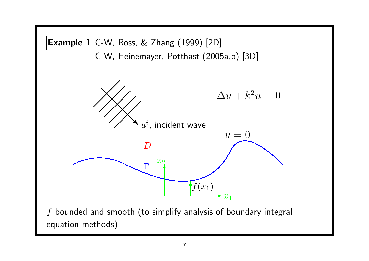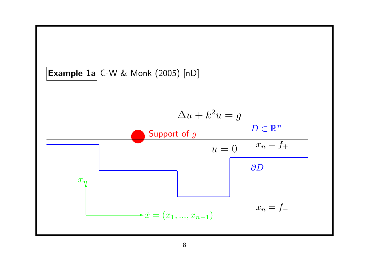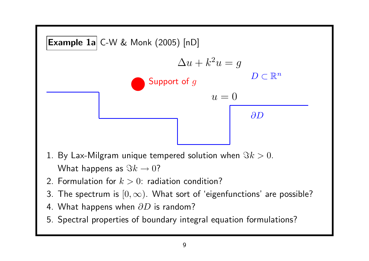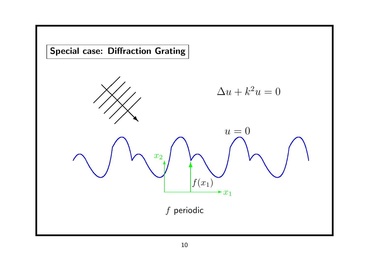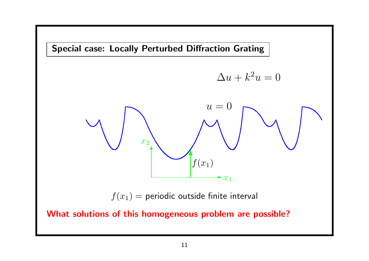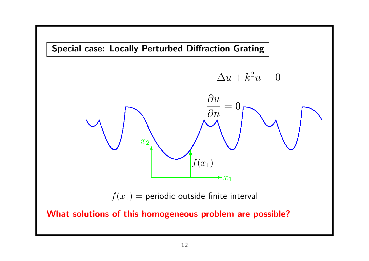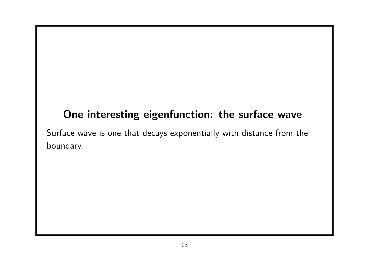## One interesting eigenfunction: the surface wave

Surface wave is one that decays exponentially with distance from the boundary.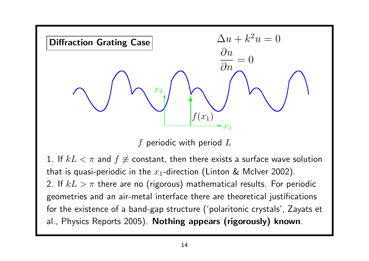

f periodic with period  $L$ 

1. If  $kL < \pi$  and  $f \not\equiv$  constant, then there exists a surface wave solution that is quasi-periodic in the  $x_1$ -direction (Linton & McIver 2002). 2. If  $kL > \pi$  there are no (rigorous) mathematical results. For periodic geometries and an air-metal interface there are theoretical justifications for the existence of a band-gap structure ('polaritonic crystals', Zayats et al., Physics Reports 2005). Nothing appears (rigorously) known.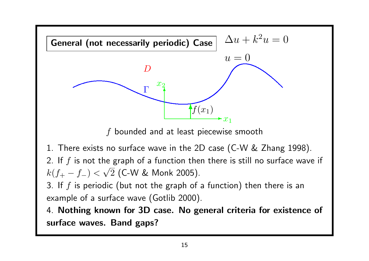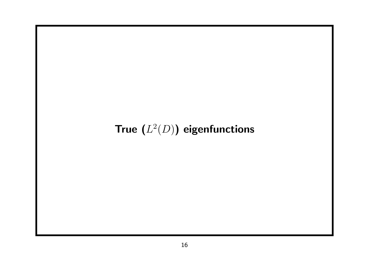## True  $(L^2(D))$  eigenfunctions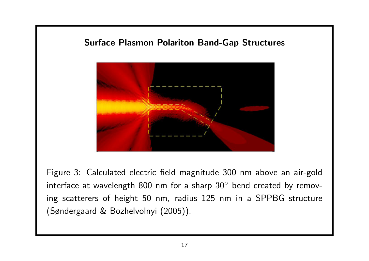#### Surface Plasmon Polariton Band-Gap Structures



Figure 3: Calculated electric field magnitude 300 nm above an air-gold interface at wavelength 800 nm for a sharp  $30^{\circ}$  bend created by removing scatterers of height 50 nm, radius 125 nm in a SPPBG structure (Søndergaard & Bozhelvolnyi (2005)).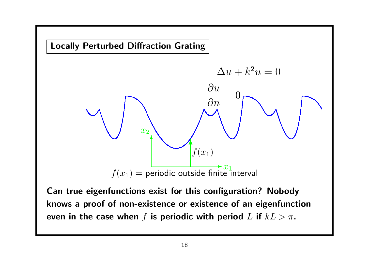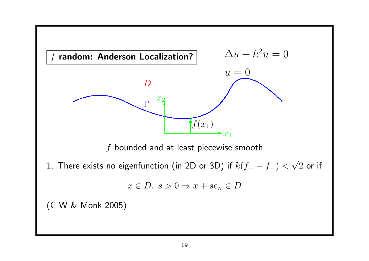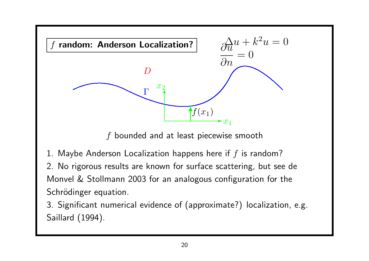

Saillard (1994).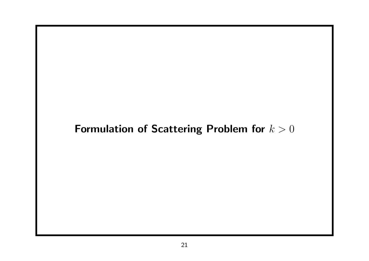## Formulation of Scattering Problem for  $k > 0$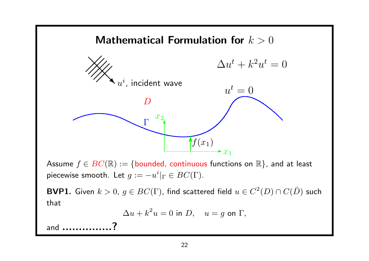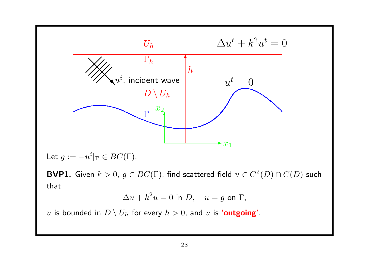

u is bounded in  $D \setminus U_h$  for every  $h > 0$ , and u is 'outgoing'.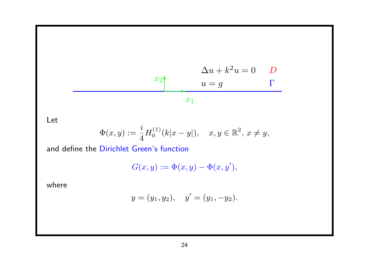$$
x_2
$$
\n
$$
u = g
$$
\n
$$
x_1
$$
\n
$$
x_1
$$
\n
$$
x_2
$$
\n
$$
x_2
$$
\n
$$
x_1
$$

Let

$$
\Phi(x, y) := \frac{i}{4} H_0^{(1)}(k|x - y|), \quad x, y \in \mathbb{R}^2, \ x \neq y,
$$

and define the Dirichlet Green's function

$$
G(x,y) := \Phi(x,y) - \Phi(x,y'),
$$

where

$$
y = (y_1, y_2),
$$
  $y' = (y_1, -y_2).$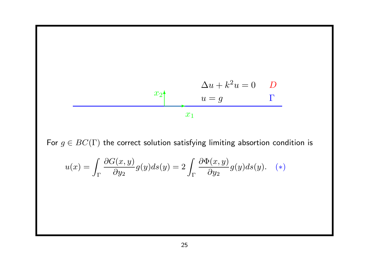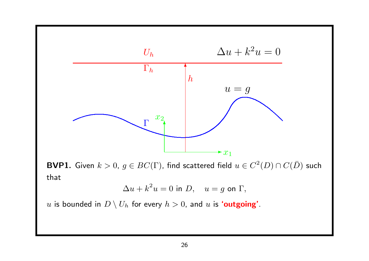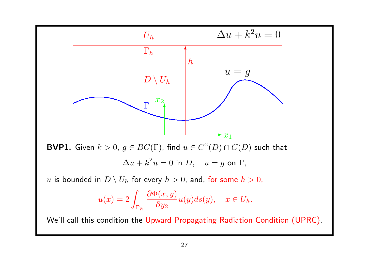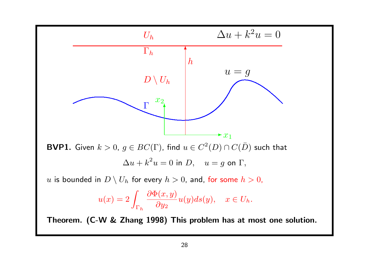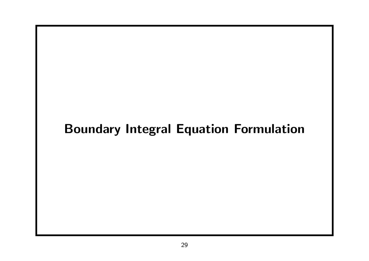# Boundary Integral Equation Formulation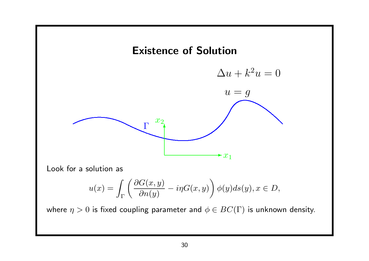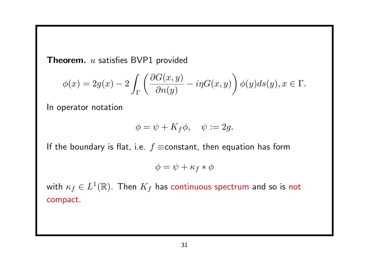**Theorem.**  $u$  satisfies BVP1 provided

$$
\phi(x) = 2g(x) - 2\int_{\Gamma} \left( \frac{\partial G(x, y)}{\partial n(y)} - i\eta G(x, y) \right) \phi(y) ds(y), x \in \Gamma.
$$

In operator notation

$$
\phi = \psi + K_f \phi, \quad \psi := 2g.
$$

If the boundary is flat, i.e.  $f \equiv$ constant, then equation has form

$$
\phi = \psi + \kappa_f * \phi
$$

with  $\kappa_f \in L^1(\mathbb{R}).$  Then  $K_f$  has continuous spectrum and so is not compact.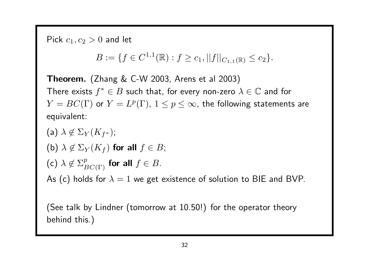Pick  $c_1, c_2 > 0$  and let

 $B := \{f \in C^{1,1}(\mathbb{R}) : f \ge c_1, ||f||_{C_{1,1}(\mathbb{R})} \le c_2\}.$ 

Theorem. (Zhang & C-W 2003, Arens et al 2003) There exists  $f^*\in B$  such that, for every non-zero  $\lambda\in\mathbb{C}$  and for  $Y=BC(\Gamma)$  or  $Y=L^p(\Gamma)$ ,  $1\leq p\leq\infty$ , the following statements are equivalent:

(a)  $\lambda \not\in \Sigma_Y(K_{f^*});$ (b)  $\lambda \notin \Sigma_Y(K_f)$  for all  $f \in B$ ; (c)  $\lambda \notin \Sigma^p_{BC(\Gamma)}$  for all  $f \in B$ . As (c) holds for  $\lambda = 1$  we get existence of solution to BIE and BVP.

(See talk by Lindner (tomorrow at 10.50!) for the operator theory behind this.)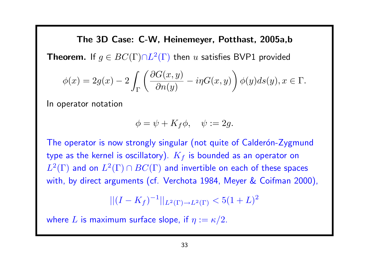The 3D Case: C-W, Heinemeyer, Potthast, 2005a,b **Theorem.** If  $g \in BC(\Gamma) \cap L^2(\Gamma)$  then u satisfies BVP1 provided  $\phi(x) = 2g(x) - 2$ Z  $\bigwedge \partial G(x,y)$  $\partial n(y)$  $-i\eta G(x,y)$  $\setminus$  $\phi(y)ds(y), x \in \Gamma.$ 

In operator notation

$$
\phi = \psi + K_f \phi, \quad \psi := 2g.
$$

The operator is now strongly singular (not quite of Calderón-Zygmund type as the kernel is oscillatory).  $K_f$  is bounded as an operator on  $L^2(\Gamma)$  and on  $L^2(\Gamma)\cap BC(\Gamma)$  and invertible on each of these spaces with, by direct arguments (cf. Verchota 1984, Meyer & Coifman 2000),

 $||(I - K_f)^{-1}||_{L^2(\Gamma) \to L^2(\Gamma)} < 5(1+L)^2$ 

where L is maximum surface slope, if  $\eta := \kappa/2$ .

Γ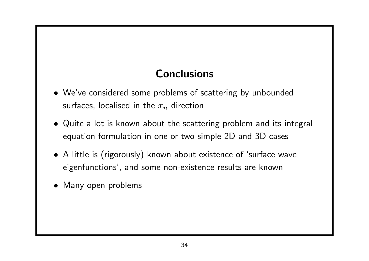## **Conclusions**

- We've considered some problems of scattering by unbounded surfaces, localised in the  $x_n$  direction
- Quite a lot is known about the scattering problem and its integral equation formulation in one or two simple 2D and 3D cases
- A little is (rigorously) known about existence of 'surface wave eigenfunctions', and some non-existence results are known
- Many open problems